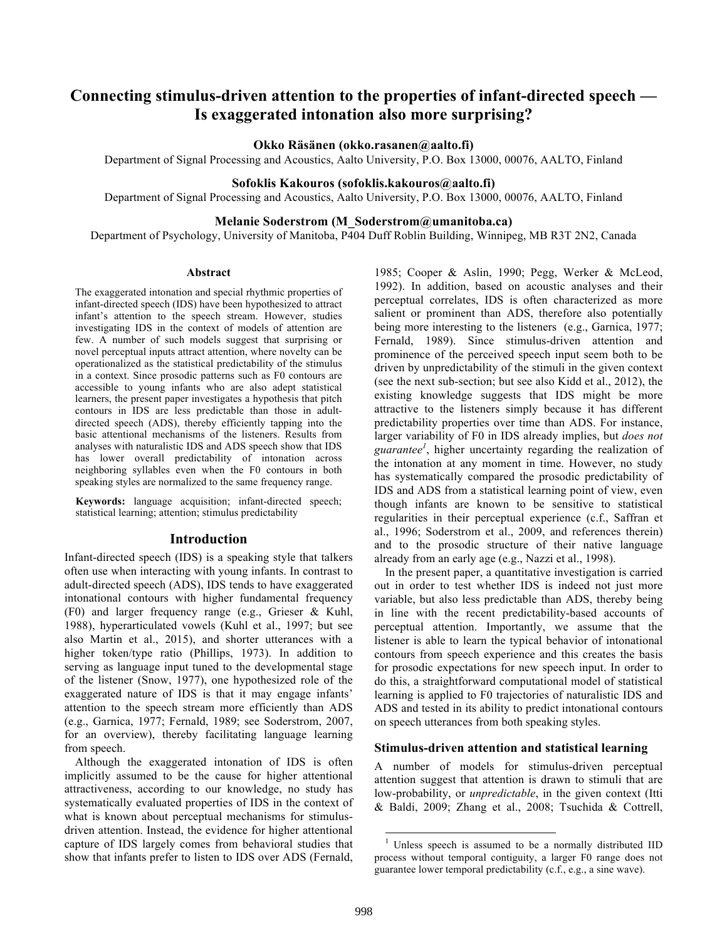# **Connecting stimulus-driven attention to the properties of infant-directed speech — Is exaggerated intonation also more surprising?**

#### **Okko Räsänen (okko.rasanen@aalto.fi)**

Department of Signal Processing and Acoustics, Aalto University, P.O. Box 13000, 00076, AALTO, Finland

### **Sofoklis Kakouros (sofoklis.kakouros@aalto.fi)**

Department of Signal Processing and Acoustics, Aalto University, P.O. Box 13000, 00076, AALTO, Finland

## **Melanie Soderstrom (M\_Soderstrom@umanitoba.ca)**

Department of Psychology, University of Manitoba, P404 Duff Roblin Building, Winnipeg, MB R3T 2N2, Canada

#### **Abstract**

The exaggerated intonation and special rhythmic properties of infant-directed speech (IDS) have been hypothesized to attract infant's attention to the speech stream. However, studies investigating IDS in the context of models of attention are few. A number of such models suggest that surprising or novel perceptual inputs attract attention, where novelty can be operationalized as the statistical predictability of the stimulus in a context. Since prosodic patterns such as F0 contours are accessible to young infants who are also adept statistical learners, the present paper investigates a hypothesis that pitch contours in IDS are less predictable than those in adultdirected speech (ADS), thereby efficiently tapping into the basic attentional mechanisms of the listeners. Results from analyses with naturalistic IDS and ADS speech show that IDS has lower overall predictability of intonation across neighboring syllables even when the F0 contours in both speaking styles are normalized to the same frequency range.

**Keywords:** language acquisition; infant-directed speech; statistical learning; attention; stimulus predictability

#### **Introduction**

Infant-directed speech (IDS) is a speaking style that talkers often use when interacting with young infants. In contrast to adult-directed speech (ADS), IDS tends to have exaggerated intonational contours with higher fundamental frequency (F0) and larger frequency range (e.g., Grieser & Kuhl, 1988), hyperarticulated vowels (Kuhl et al., 1997; but see also Martin et al., 2015), and shorter utterances with a higher token/type ratio (Phillips, 1973). In addition to serving as language input tuned to the developmental stage of the listener (Snow, 1977), one hypothesized role of the exaggerated nature of IDS is that it may engage infants' attention to the speech stream more efficiently than ADS (e.g., Garnica, 1977; Fernald, 1989; see Soderstrom, 2007, for an overview), thereby facilitating language learning from speech.

Although the exaggerated intonation of IDS is often implicitly assumed to be the cause for higher attentional attractiveness, according to our knowledge, no study has systematically evaluated properties of IDS in the context of what is known about perceptual mechanisms for stimulusdriven attention. Instead, the evidence for higher attentional capture of IDS largely comes from behavioral studies that show that infants prefer to listen to IDS over ADS (Fernald,

1985; Cooper & Aslin, 1990; Pegg, Werker & McLeod, 1992). In addition, based on acoustic analyses and their perceptual correlates, IDS is often characterized as more salient or prominent than ADS, therefore also potentially being more interesting to the listeners (e.g., Garnica, 1977; Fernald, 1989). Since stimulus-driven attention and prominence of the perceived speech input seem both to be driven by unpredictability of the stimuli in the given context (see the next sub-section; but see also Kidd et al., 2012), the existing knowledge suggests that IDS might be more attractive to the listeners simply because it has different predictability properties over time than ADS. For instance, larger variability of F0 in IDS already implies, but *does not guarantee<sup>1</sup>* , higher uncertainty regarding the realization of the intonation at any moment in time. However, no study has systematically compared the prosodic predictability of IDS and ADS from a statistical learning point of view, even though infants are known to be sensitive to statistical regularities in their perceptual experience (c.f., Saffran et al., 1996; Soderstrom et al., 2009, and references therein) and to the prosodic structure of their native language already from an early age (e.g., Nazzi et al., 1998).

In the present paper, a quantitative investigation is carried out in order to test whether IDS is indeed not just more variable, but also less predictable than ADS, thereby being in line with the recent predictability-based accounts of perceptual attention. Importantly, we assume that the listener is able to learn the typical behavior of intonational contours from speech experience and this creates the basis for prosodic expectations for new speech input. In order to do this, a straightforward computational model of statistical learning is applied to F0 trajectories of naturalistic IDS and ADS and tested in its ability to predict intonational contours on speech utterances from both speaking styles.

#### **Stimulus-driven attention and statistical learning**

A number of models for stimulus-driven perceptual attention suggest that attention is drawn to stimuli that are low-probability, or *unpredictable*, in the given context (Itti & Baldi, 2009; Zhang et al., 2008; Tsuchida & Cottrell,

<sup>&</sup>lt;sup>1</sup> Unless speech is assumed to be a normally distributed IID process without temporal contiguity, a larger F0 range does not guarantee lower temporal predictability (c.f., e.g., a sine wave).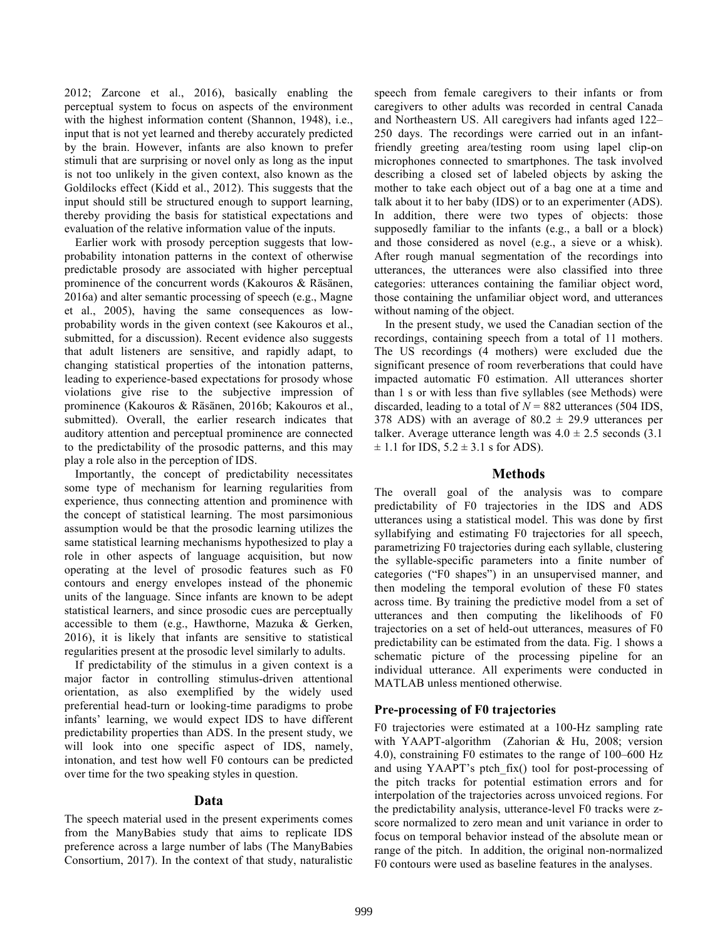2012; Zarcone et al., 2016), basically enabling the perceptual system to focus on aspects of the environment with the highest information content (Shannon, 1948), i.e., input that is not yet learned and thereby accurately predicted by the brain. However, infants are also known to prefer stimuli that are surprising or novel only as long as the input is not too unlikely in the given context, also known as the Goldilocks effect (Kidd et al., 2012). This suggests that the input should still be structured enough to support learning, thereby providing the basis for statistical expectations and evaluation of the relative information value of the inputs.

Earlier work with prosody perception suggests that lowprobability intonation patterns in the context of otherwise predictable prosody are associated with higher perceptual prominence of the concurrent words (Kakouros & Räsänen, 2016a) and alter semantic processing of speech (e.g., Magne et al., 2005), having the same consequences as lowprobability words in the given context (see Kakouros et al., submitted, for a discussion). Recent evidence also suggests that adult listeners are sensitive, and rapidly adapt, to changing statistical properties of the intonation patterns, leading to experience-based expectations for prosody whose violations give rise to the subjective impression of prominence (Kakouros & Räsänen, 2016b; Kakouros et al., submitted). Overall, the earlier research indicates that auditory attention and perceptual prominence are connected to the predictability of the prosodic patterns, and this may play a role also in the perception of IDS.

Importantly, the concept of predictability necessitates some type of mechanism for learning regularities from experience, thus connecting attention and prominence with the concept of statistical learning. The most parsimonious assumption would be that the prosodic learning utilizes the same statistical learning mechanisms hypothesized to play a role in other aspects of language acquisition, but now operating at the level of prosodic features such as F0 contours and energy envelopes instead of the phonemic units of the language. Since infants are known to be adept statistical learners, and since prosodic cues are perceptually accessible to them (e.g., Hawthorne, Mazuka & Gerken, 2016), it is likely that infants are sensitive to statistical regularities present at the prosodic level similarly to adults.

If predictability of the stimulus in a given context is a major factor in controlling stimulus-driven attentional orientation, as also exemplified by the widely used preferential head-turn or looking-time paradigms to probe infants' learning, we would expect IDS to have different predictability properties than ADS. In the present study, we will look into one specific aspect of IDS, namely, intonation, and test how well F0 contours can be predicted over time for the two speaking styles in question.

# **Data**

The speech material used in the present experiments comes from the ManyBabies study that aims to replicate IDS preference across a large number of labs (The ManyBabies Consortium, 2017). In the context of that study, naturalistic

speech from female caregivers to their infants or from caregivers to other adults was recorded in central Canada and Northeastern US. All caregivers had infants aged 122– 250 days. The recordings were carried out in an infantfriendly greeting area/testing room using lapel clip-on microphones connected to smartphones. The task involved describing a closed set of labeled objects by asking the mother to take each object out of a bag one at a time and talk about it to her baby (IDS) or to an experimenter (ADS). In addition, there were two types of objects: those supposedly familiar to the infants (e.g., a ball or a block) and those considered as novel (e.g., a sieve or a whisk). After rough manual segmentation of the recordings into utterances, the utterances were also classified into three categories: utterances containing the familiar object word, those containing the unfamiliar object word, and utterances without naming of the object.

In the present study, we used the Canadian section of the recordings, containing speech from a total of 11 mothers. The US recordings (4 mothers) were excluded due the significant presence of room reverberations that could have impacted automatic F0 estimation. All utterances shorter than 1 s or with less than five syllables (see Methods) were discarded, leading to a total of  $N = 882$  utterances (504 IDS, 378 ADS) with an average of  $80.2 \pm 29.9$  utterances per talker. Average utterance length was  $4.0 \pm 2.5$  seconds (3.1)  $\pm$  1.1 for IDS, 5.2  $\pm$  3.1 s for ADS).

## **Methods**

The overall goal of the analysis was to compare predictability of F0 trajectories in the IDS and ADS utterances using a statistical model. This was done by first syllabifying and estimating F0 trajectories for all speech, parametrizing F0 trajectories during each syllable, clustering the syllable-specific parameters into a finite number of categories ("F0 shapes") in an unsupervised manner, and then modeling the temporal evolution of these F0 states across time. By training the predictive model from a set of utterances and then computing the likelihoods of F0 trajectories on a set of held-out utterances, measures of F0 predictability can be estimated from the data. Fig. 1 shows a schematic picture of the processing pipeline for an individual utterance. All experiments were conducted in MATLAB unless mentioned otherwise.

# **Pre-processing of F0 trajectories**

F0 trajectories were estimated at a 100-Hz sampling rate with YAAPT-algorithm (Zahorian & Hu, 2008; version 4.0), constraining F0 estimates to the range of 100–600 Hz and using YAAPT's ptch\_fix() tool for post-processing of the pitch tracks for potential estimation errors and for interpolation of the trajectories across unvoiced regions. For the predictability analysis, utterance-level F0 tracks were zscore normalized to zero mean and unit variance in order to focus on temporal behavior instead of the absolute mean or range of the pitch. In addition, the original non-normalized F0 contours were used as baseline features in the analyses.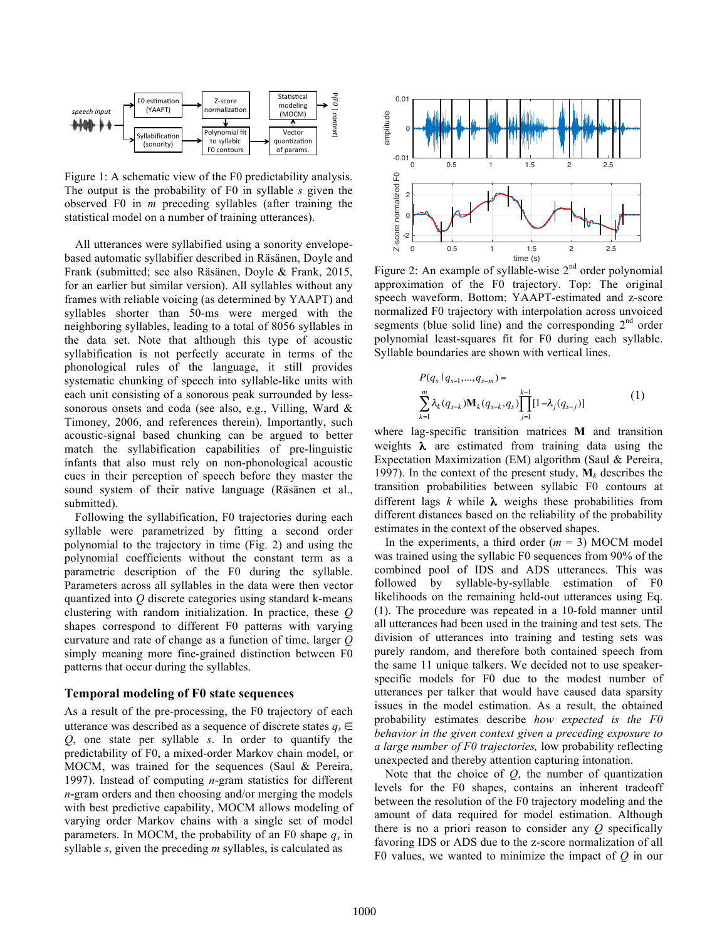

Figure 1: A schematic view of the F0 predictability analysis. The output is the probability of F0 in syllable *s* given the observed F0 in *m* preceding syllables (after training the statistical model on a number of training utterances).

All utterances were syllabified using a sonority envelopebased automatic syllabifier described in Räsänen, Doyle and Frank (submitted; see also Räsänen, Doyle & Frank, 2015, for an earlier but similar version). All syllables without any frames with reliable voicing (as determined by YAAPT) and syllables shorter than 50-ms were merged with the neighboring syllables, leading to a total of 8056 syllables in the data set. Note that although this type of acoustic syllabification is not perfectly accurate in terms of the phonological rules of the language, it still provides systematic chunking of speech into syllable-like units with each unit consisting of a sonorous peak surrounded by lesssonorous onsets and coda (see also, e.g., Villing, Ward & Timoney, 2006, and references therein). Importantly, such acoustic-signal based chunking can be argued to better match the syllabification capabilities of pre-linguistic infants that also must rely on non-phonological acoustic cues in their perception of speech before they master the sound system of their native language (Räsänen et al., submitted).

Following the syllabification, F0 trajectories during each syllable were parametrized by fitting a second order polynomial to the trajectory in time (Fig. 2) and using the polynomial coefficients without the constant term as a parametric description of the F0 during the syllable. Parameters across all syllables in the data were then vector quantized into *Q* discrete categories using standard k-means clustering with random initialization. In practice, these *Q* shapes correspond to different F0 patterns with varying curvature and rate of change as a function of time, larger *Q* simply meaning more fine-grained distinction between F0 patterns that occur during the syllables.

## **Temporal modeling of F0 state sequences**

As a result of the pre-processing, the F0 trajectory of each utterance was described as a sequence of discrete states  $q_s \in \mathbb{R}$ *Q*, one state per syllable *s*. In order to quantify the predictability of F0, a mixed-order Markov chain model, or MOCM, was trained for the sequences (Saul & Pereira, 1997). Instead of computing *n*-gram statistics for different *n*-gram orders and then choosing and/or merging the models with best predictive capability, MOCM allows modeling of varying order Markov chains with a single set of model parameters. In MOCM, the probability of an F0 shape  $q_s$  in syllable *s*, given the preceding *m* syllables, is calculated as



Figure 2: An example of syllable-wise  $2<sup>nd</sup>$  order polynomial approximation of the F0 trajectory. Top: The original speech waveform. Bottom: YAAPT-estimated and z-score normalized F0 trajectory with interpolation across unvoiced segments (blue solid line) and the corresponding  $2<sup>nd</sup>$  order polynomial least-squares fit for F0 during each syllable. Syllable boundaries are shown with vertical lines.

$$
P(q_s | q_{s-1},...,q_{s-m}) =
$$
  

$$
\sum_{k=1}^{m} \lambda_k (q_{s-k}) \mathbf{M}_k (q_{s-k}, q_s) \prod_{j=1}^{k-1} [1 - \lambda_j (q_{s-j})]
$$
 (1)

where lag-specific transition matrices **M** and transition weights  $\lambda$  are estimated from training data using the Expectation Maximization (EM) algorithm (Saul & Pereira, 1997). In the context of the present study,  $M_k$  describes the transition probabilities between syllabic F0 contours at different lags  $k$  while  $\lambda$  weighs these probabilities from different distances based on the reliability of the probability estimates in the context of the observed shapes.

In the experiments, a third order  $(m = 3)$  MOCM model was trained using the syllabic F0 sequences from 90% of the combined pool of IDS and ADS utterances. This was followed by syllable-by-syllable estimation of F0 likelihoods on the remaining held-out utterances using Eq. (1). The procedure was repeated in a 10-fold manner until all utterances had been used in the training and test sets. The division of utterances into training and testing sets was purely random, and therefore both contained speech from the same 11 unique talkers. We decided not to use speakerspecific models for F0 due to the modest number of utterances per talker that would have caused data sparsity issues in the model estimation. As a result, the obtained probability estimates describe *how expected is the F0 behavior in the given context given a preceding exposure to a large number of F0 trajectories,* low probability reflecting unexpected and thereby attention capturing intonation.

Note that the choice of  $Q$ , the number of quantization levels for the F0 shapes, contains an inherent tradeoff between the resolution of the F0 trajectory modeling and the amount of data required for model estimation. Although there is no a priori reason to consider any *Q* specifically favoring IDS or ADS due to the z-score normalization of all F0 values, we wanted to minimize the impact of *Q* in our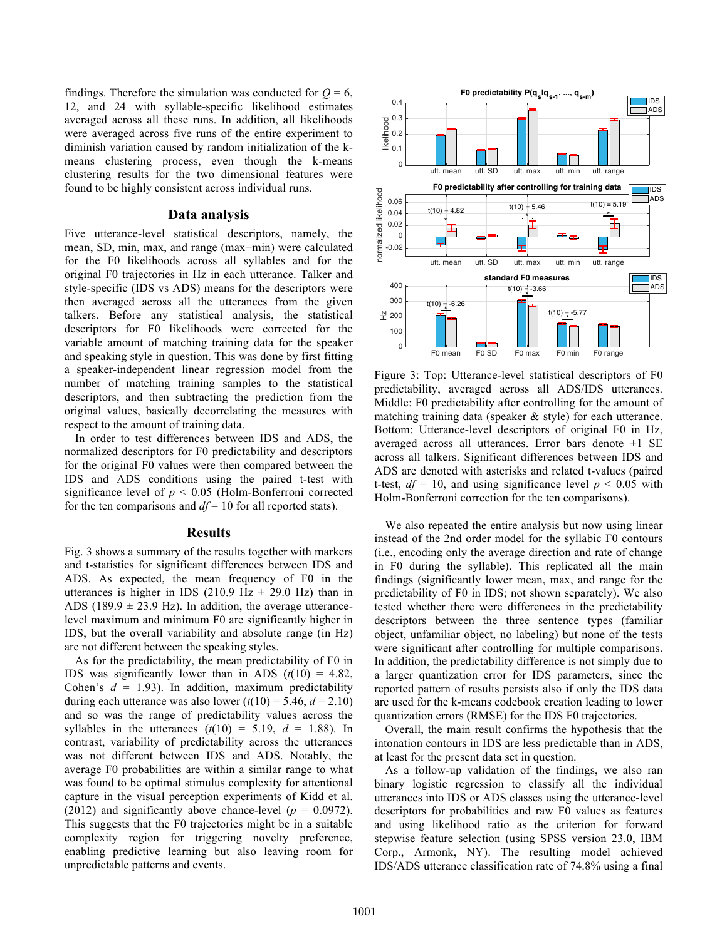findings. Therefore the simulation was conducted for  $Q = 6$ , 12, and 24 with syllable-specific likelihood estimates averaged across all these runs. In addition, all likelihoods were averaged across five runs of the entire experiment to diminish variation caused by random initialization of the kmeans clustering process, even though the k-means clustering results for the two dimensional features were found to be highly consistent across individual runs.

### **Data analysis**

Five utterance-level statistical descriptors, namely, the mean, SD, min, max, and range (max−min) were calculated for the F0 likelihoods across all syllables and for the original F0 trajectories in Hz in each utterance. Talker and style-specific (IDS vs ADS) means for the descriptors were then averaged across all the utterances from the given talkers. Before any statistical analysis, the statistical descriptors for F0 likelihoods were corrected for the variable amount of matching training data for the speaker and speaking style in question. This was done by first fitting a speaker-independent linear regression model from the number of matching training samples to the statistical descriptors, and then subtracting the prediction from the original values, basically decorrelating the measures with respect to the amount of training data.

In order to test differences between IDS and ADS, the normalized descriptors for F0 predictability and descriptors for the original F0 values were then compared between the IDS and ADS conditions using the paired t-test with significance level of *p* < 0.05 (Holm-Bonferroni corrected for the ten comparisons and *df* = 10 for all reported stats).

### **Results**

Fig. 3 shows a summary of the results together with markers and t-statistics for significant differences between IDS and ADS. As expected, the mean frequency of F0 in the utterances is higher in IDS (210.9 Hz  $\pm$  29.0 Hz) than in ADS (189.9  $\pm$  23.9 Hz). In addition, the average utterancelevel maximum and minimum F0 are significantly higher in IDS, but the overall variability and absolute range (in Hz) are not different between the speaking styles.

As for the predictability, the mean predictability of F0 in IDS was significantly lower than in ADS  $(t(10) = 4.82)$ , Cohen's  $d = 1.93$ ). In addition, maximum predictability during each utterance was also lower  $(t(10) = 5.46, d = 2.10)$ and so was the range of predictability values across the syllables in the utterances  $(t(10) = 5.19, d = 1.88)$ . In contrast, variability of predictability across the utterances was not different between IDS and ADS. Notably, the average F0 probabilities are within a similar range to what was found to be optimal stimulus complexity for attentional capture in the visual perception experiments of Kidd et al. (2012) and significantly above chance-level  $(p = 0.0972)$ . This suggests that the F0 trajectories might be in a suitable complexity region for triggering novelty preference, enabling predictive learning but also leaving room for unpredictable patterns and events.



Figure 3: Top: Utterance-level statistical descriptors of F0 predictability, averaged across all ADS/IDS utterances. Middle: F0 predictability after controlling for the amount of matching training data (speaker & style) for each utterance. Bottom: Utterance-level descriptors of original F0 in Hz, averaged across all utterances. Error bars denote  $\pm 1$  SE across all talkers. Significant differences between IDS and ADS are denoted with asterisks and related t-values (paired t-test,  $df = 10$ , and using significance level  $p < 0.05$  with Holm-Bonferroni correction for the ten comparisons).

We also repeated the entire analysis but now using linear instead of the 2nd order model for the syllabic F0 contours (i.e., encoding only the average direction and rate of change in F0 during the syllable). This replicated all the main findings (significantly lower mean, max, and range for the predictability of F0 in IDS; not shown separately). We also tested whether there were differences in the predictability descriptors between the three sentence types (familiar object, unfamiliar object, no labeling) but none of the tests were significant after controlling for multiple comparisons. In addition, the predictability difference is not simply due to a larger quantization error for IDS parameters, since the reported pattern of results persists also if only the IDS data are used for the k-means codebook creation leading to lower quantization errors (RMSE) for the IDS F0 trajectories.

Overall, the main result confirms the hypothesis that the intonation contours in IDS are less predictable than in ADS, at least for the present data set in question.

As a follow-up validation of the findings, we also ran binary logistic regression to classify all the individual utterances into IDS or ADS classes using the utterance-level descriptors for probabilities and raw F0 values as features and using likelihood ratio as the criterion for forward stepwise feature selection (using SPSS version 23.0, IBM Corp., Armonk, NY). The resulting model achieved IDS/ADS utterance classification rate of 74.8% using a final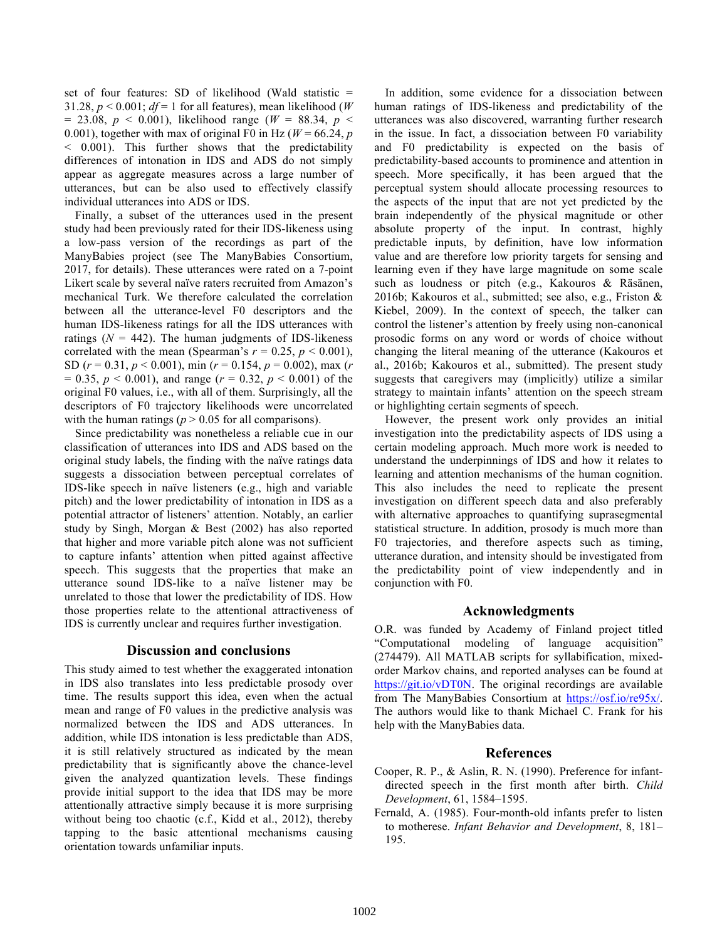set of four features: SD of likelihood (Wald statistic = 31.28,  $p < 0.001$ ;  $df = 1$  for all features), mean likelihood (*W*)  $= 23.08, p \le 0.001$ , likelihood range ( $W = 88.34, p \le 0$ 0.001), together with max of original F0 in Hz ( $W = 66.24$ , *p* < 0.001). This further shows that the predictability differences of intonation in IDS and ADS do not simply appear as aggregate measures across a large number of utterances, but can be also used to effectively classify individual utterances into ADS or IDS.

Finally, a subset of the utterances used in the present study had been previously rated for their IDS-likeness using a low-pass version of the recordings as part of the ManyBabies project (see The ManyBabies Consortium, 2017, for details). These utterances were rated on a 7-point Likert scale by several naïve raters recruited from Amazon's mechanical Turk. We therefore calculated the correlation between all the utterance-level F0 descriptors and the human IDS-likeness ratings for all the IDS utterances with ratings  $(N = 442)$ . The human judgments of IDS-likeness correlated with the mean (Spearman's  $r = 0.25$ ,  $p < 0.001$ ), SD (*r* = 0.31, *p* < 0.001), min (*r* = 0.154, *p* = 0.002), max (*r* = 0.35, *p* < 0.001), and range (*r* = 0.32, *p* < 0.001) of the original F0 values, i.e., with all of them. Surprisingly, all the descriptors of F0 trajectory likelihoods were uncorrelated with the human ratings ( $p > 0.05$  for all comparisons).

Since predictability was nonetheless a reliable cue in our classification of utterances into IDS and ADS based on the original study labels, the finding with the naïve ratings data suggests a dissociation between perceptual correlates of IDS-like speech in naïve listeners (e.g., high and variable pitch) and the lower predictability of intonation in IDS as a potential attractor of listeners' attention. Notably, an earlier study by Singh, Morgan & Best (2002) has also reported that higher and more variable pitch alone was not sufficient to capture infants' attention when pitted against affective speech. This suggests that the properties that make an utterance sound IDS-like to a naïve listener may be unrelated to those that lower the predictability of IDS. How those properties relate to the attentional attractiveness of IDS is currently unclear and requires further investigation.

### **Discussion and conclusions**

This study aimed to test whether the exaggerated intonation in IDS also translates into less predictable prosody over time. The results support this idea, even when the actual mean and range of F0 values in the predictive analysis was normalized between the IDS and ADS utterances. In addition, while IDS intonation is less predictable than ADS, it is still relatively structured as indicated by the mean predictability that is significantly above the chance-level given the analyzed quantization levels. These findings provide initial support to the idea that IDS may be more attentionally attractive simply because it is more surprising without being too chaotic (c.f., Kidd et al., 2012), thereby tapping to the basic attentional mechanisms causing orientation towards unfamiliar inputs.

In addition, some evidence for a dissociation between human ratings of IDS-likeness and predictability of the utterances was also discovered, warranting further research in the issue. In fact, a dissociation between F0 variability and F0 predictability is expected on the basis of predictability-based accounts to prominence and attention in speech. More specifically, it has been argued that the perceptual system should allocate processing resources to the aspects of the input that are not yet predicted by the brain independently of the physical magnitude or other absolute property of the input. In contrast, highly predictable inputs, by definition, have low information value and are therefore low priority targets for sensing and learning even if they have large magnitude on some scale such as loudness or pitch (e.g., Kakouros & Räsänen, 2016b; Kakouros et al., submitted; see also, e.g., Friston & Kiebel, 2009). In the context of speech, the talker can control the listener's attention by freely using non-canonical prosodic forms on any word or words of choice without changing the literal meaning of the utterance (Kakouros et al., 2016b; Kakouros et al., submitted). The present study suggests that caregivers may (implicitly) utilize a similar strategy to maintain infants' attention on the speech stream or highlighting certain segments of speech.

However, the present work only provides an initial investigation into the predictability aspects of IDS using a certain modeling approach. Much more work is needed to understand the underpinnings of IDS and how it relates to learning and attention mechanisms of the human cognition. This also includes the need to replicate the present investigation on different speech data and also preferably with alternative approaches to quantifying suprasegmental statistical structure. In addition, prosody is much more than F0 trajectories, and therefore aspects such as timing, utterance duration, and intensity should be investigated from the predictability point of view independently and in conjunction with F0.

### **Acknowledgments**

O.R. was funded by Academy of Finland project titled "Computational modeling of language acquisition" (274479). All MATLAB scripts for syllabification, mixedorder Markov chains, and reported analyses can be found at https://git.io/vDT0N. The original recordings are available from The ManyBabies Consortium at https://osf.io/re95x/. The authors would like to thank Michael C. Frank for his help with the ManyBabies data.

# **References**

- Cooper, R. P., & Aslin, R. N. (1990). Preference for infantdirected speech in the first month after birth. *Child Development*, 61, 1584–1595.
- Fernald, A. (1985). Four-month-old infants prefer to listen to motherese. *Infant Behavior and Development*, 8, 181– 195.